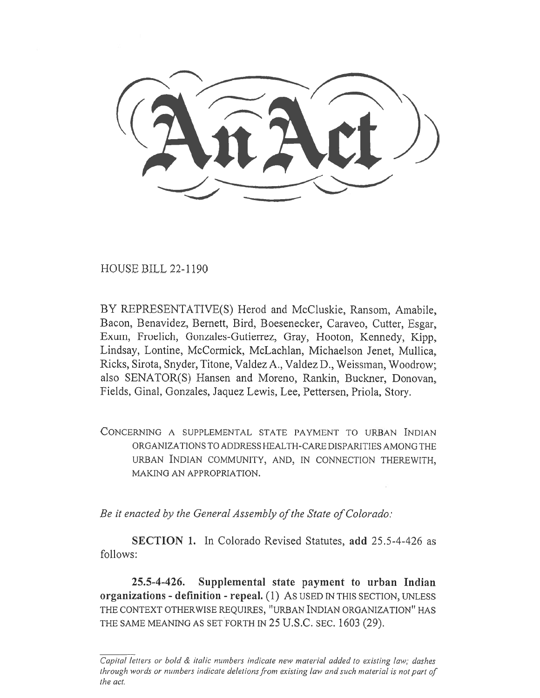HOUSE BILL 22-1190

BY REPRESENTATIVE(S) Herod and McCluskie, Ransom, Amabile, Bacon, Benavidez, Bernett, Bird, Boesenecker, Caraveo, Cutter, Esgar, Exum, Froelich, Gonzales-Gutierrez, Gray, Hooton, Kennedy, Kipp, Lindsay, Lontine, McCormick, McLachlan, Michaelson Jenet, Mullica, Ricks, Sirota, Snyder, Titone, Valdez A., Valdez D., Weissman, Woodrow; also SENATOR(S) Hansen and Moreno, Rankin, Buckner, Donovan, Fields, Ginal, Gonzales, Jaquez Lewis, Lee, Pettersen, Priola, Story.

CONCERNING A SUPPLEMENTAL STATE PAYMENT TO URBAN INDIAN ORGANIZATIONS TO ADDRESS HEALTH-CARE DISPARITIES AMONG THE URBAN INDIAN COMMUNITY, AND, IN CONNECTION THEREWITH, MAKING AN APPROPRIATION.

Be it enacted by the General Assembly of the State of Colorado:

SECTION 1. In Colorado Revised Statutes, add 25.5-4-426 as follows:

25.5-4-426. Supplemental state payment to urban Indian organizations - definition - repeal. (1) AS USED IN THIS SECTION, UNLESS THE CONTEXT OTHERWISE REQUIRES, "URBAN INDIAN ORGANIZATION" HAS THE SAME MEANING AS SET FORTH IN 25 U.S.C. SEC. 1603 (29).

 $\overline{\text{Capital}}$  letters or bold & italic numbers indicate new material added to existing law; dashes through words or numbers indicate deletions from existing law and such material is not part of the act.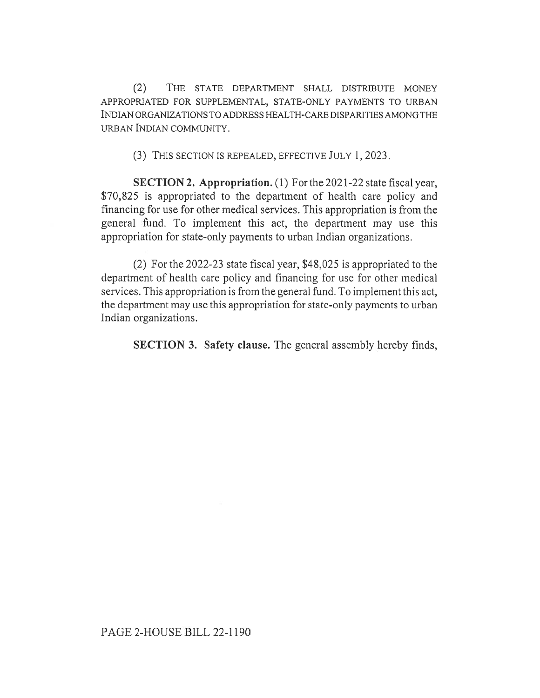(2) THE STATE DEPARTMENT SHALL DISTRIBUTE MONEY APPROPRIATED FOR SUPPLEMENTAL, STATE-ONLY PAYMENTS TO URBAN INDIAN ORGANIZATIONS TO ADDRESS HEALTH-CARE DISPARITIES AMONG THE URBAN INDIAN COMMUNITY.

(3) THIS SECTION IS REPEALED, EFFECTIVE JULY 1, 2023.

SECTION 2. Appropriation. (1) For the 2021-22 state fiscal year, \$70,825 is appropriated to the department of health care policy and financing for use for other medical services. This appropriation is from the general fund. To implement this act, the department may use this appropriation for state-only payments to urban Indian organizations.

(2) For the 2022-23 state fiscal year, \$48,025 is appropriated to the department of health care policy and financing for use for other medical services. This appropriation is from the general fund. To implement this act, the department may use this appropriation for state-only payments to urban Indian organizations.

SECTION 3. Safety clause. The general assembly hereby finds,